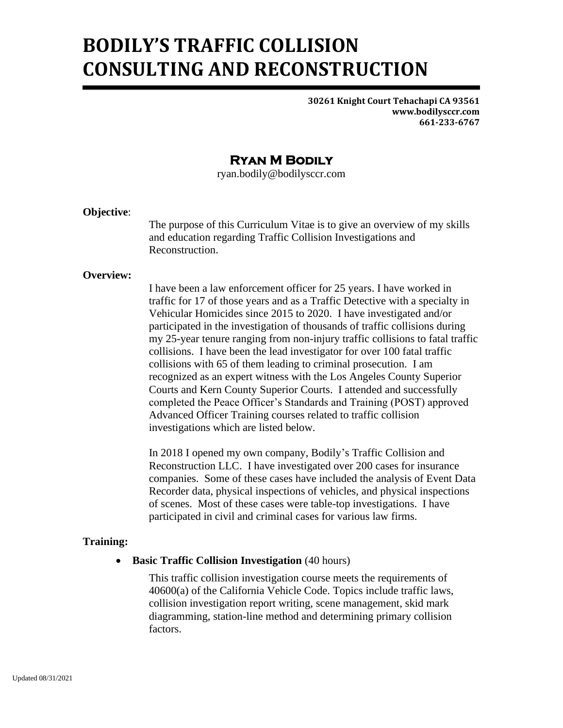# **BODILY'S TRAFFIC COLLISION CONSULTING AND RECONSTRUCTION**

**30261 Knight Court Tehachapi CA 93561 www.bodilysccr.com 661-233-6767**

# **Ryan M Bodily**

ryan.bodily@bodilysccr.com

## **Objective**:

The purpose of this Curriculum Vitae is to give an overview of my skills and education regarding Traffic Collision Investigations and Reconstruction.

# **Overview:**

I have been a law enforcement officer for 25 years. I have worked in traffic for 17 of those years and as a Traffic Detective with a specialty in Vehicular Homicides since 2015 to 2020. I have investigated and/or participated in the investigation of thousands of traffic collisions during my 25-year tenure ranging from non-injury traffic collisions to fatal traffic collisions. I have been the lead investigator for over 100 fatal traffic collisions with 65 of them leading to criminal prosecution. I am recognized as an expert witness with the Los Angeles County Superior Courts and Kern County Superior Courts. I attended and successfully completed the Peace Officer's Standards and Training (POST) approved Advanced Officer Training courses related to traffic collision investigations which are listed below.

In 2018 I opened my own company, Bodily's Traffic Collision and Reconstruction LLC. I have investigated over 200 cases for insurance companies. Some of these cases have included the analysis of Event Data Recorder data, physical inspections of vehicles, and physical inspections of scenes. Most of these cases were table-top investigations. I have participated in civil and criminal cases for various law firms.

# **Training:**

## • **Basic Traffic Collision Investigation** (40 hours)

This traffic collision investigation course meets the requirements of 40600(a) of the California Vehicle Code. Topics include traffic laws, collision investigation report writing, scene management, skid mark diagramming, station-line method and determining primary collision factors.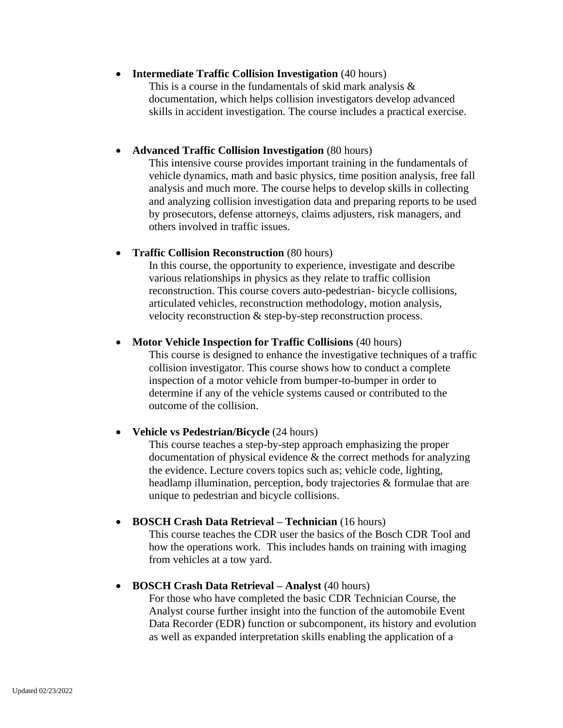## • **Intermediate Traffic Collision Investigation** (40 hours)

This is a course in the fundamentals of skid mark analysis & documentation, which helps collision investigators develop advanced skills in accident investigation. The course includes a practical exercise.

#### • **Advanced Traffic Collision Investigation** (80 hours)

This intensive course provides important training in the fundamentals of vehicle dynamics, math and basic physics, time position analysis, free fall analysis and much more. The course helps to develop skills in collecting and analyzing collision investigation data and preparing reports to be used by prosecutors, defense attorneys, claims adjusters, risk managers, and others involved in traffic issues.

#### • **Traffic Collision Reconstruction** (80 hours)

In this course, the opportunity to experience, investigate and describe various relationships in physics as they relate to traffic collision reconstruction. This course covers auto-pedestrian- bicycle collisions, articulated vehicles, reconstruction methodology, motion analysis, velocity reconstruction & step-by-step reconstruction process.

#### • **Motor Vehicle Inspection for Traffic Collisions** (40 hours)

This course is designed to enhance the investigative techniques of a traffic collision investigator. This course shows how to conduct a complete inspection of a motor vehicle from bumper-to-bumper in order to determine if any of the vehicle systems caused or contributed to the outcome of the collision.

## • **Vehicle vs Pedestrian/Bicycle** (24 hours)

This course teaches a step-by-step approach emphasizing the proper documentation of physical evidence & the correct methods for analyzing the evidence. Lecture covers topics such as; vehicle code, lighting, headlamp illumination, perception, body trajectories & formulae that are unique to pedestrian and bicycle collisions.

#### • **BOSCH Crash Data Retrieval – Technician** (16 hours)

This course teaches the CDR user the basics of the Bosch CDR Tool and how the operations work. This includes hands on training with imaging from vehicles at a tow yard.

#### • **BOSCH Crash Data Retrieval – Analyst** (40 hours)

For those who have completed the basic CDR Technician Course, the Analyst course further insight into the function of the automobile Event Data Recorder (EDR) function or subcomponent, its history and evolution as well as expanded interpretation skills enabling the application of a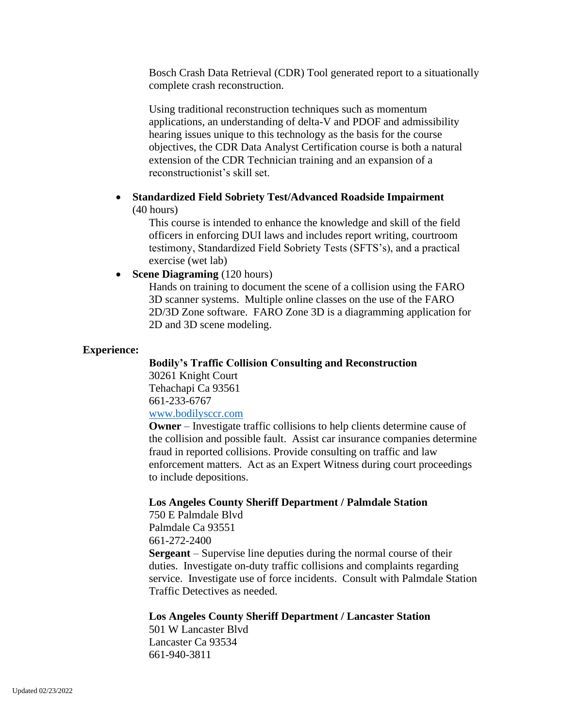Bosch Crash Data Retrieval (CDR) Tool generated report to a situationally complete crash reconstruction.

Using traditional reconstruction techniques such as momentum applications, an understanding of delta-V and PDOF and admissibility hearing issues unique to this technology as the basis for the course objectives, the CDR Data Analyst Certification course is both a natural extension of the CDR Technician training and an expansion of a reconstructionist's skill set.

## • **Standardized Field Sobriety Test/Advanced Roadside Impairment** (40 hours)

This course is intended to enhance the knowledge and skill of the field officers in enforcing DUI laws and includes report writing, courtroom testimony, Standardized Field Sobriety Tests (SFTS's), and a practical exercise (wet lab)

#### • **Scene Diagraming** (120 hours)

Hands on training to document the scene of a collision using the FARO 3D scanner systems. Multiple online classes on the use of the FARO 2D/3D Zone software. FARO Zone 3D is a diagramming application for 2D and 3D scene modeling.

#### **Experience:**

## **Bodily's Traffic Collision Consulting and Reconstruction** 30261 Knight Court

Tehachapi Ca 93561 661-233-6767 [www.bodilysccr.com](http://www.bodilysccr.com/)

**Owner** – Investigate traffic collisions to help clients determine cause of the collision and possible fault. Assist car insurance companies determine fraud in reported collisions. Provide consulting on traffic and law enforcement matters. Act as an Expert Witness during court proceedings to include depositions.

## **Los Angeles County Sheriff Department / Palmdale Station**

750 E Palmdale Blvd Palmdale Ca 93551 661-272-2400 **Sergeant** – Supervise line deputies during the normal course of their duties. Investigate on-duty traffic collisions and complaints regarding service. Investigate use of force incidents. Consult with Palmdale Station Traffic Detectives as needed.

#### **Los Angeles County Sheriff Department / Lancaster Station**

501 W Lancaster Blvd Lancaster Ca 93534 661-940-3811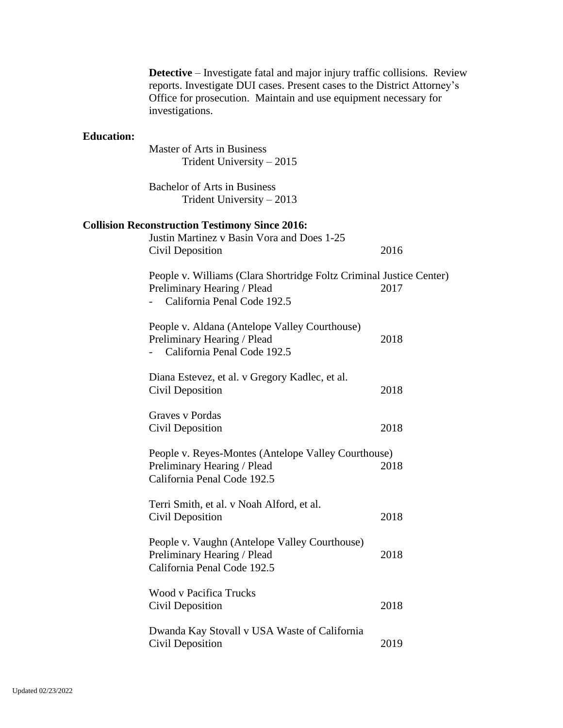|                   | <b>Detective</b> – Investigate fatal and major injury traffic collisions. Review<br>reports. Investigate DUI cases. Present cases to the District Attorney's<br>Office for prosecution. Maintain and use equipment necessary for<br>investigations. |      |
|-------------------|-----------------------------------------------------------------------------------------------------------------------------------------------------------------------------------------------------------------------------------------------------|------|
| <b>Education:</b> |                                                                                                                                                                                                                                                     |      |
|                   | Master of Arts in Business                                                                                                                                                                                                                          |      |
|                   | Trident University $-2015$                                                                                                                                                                                                                          |      |
|                   | <b>Bachelor of Arts in Business</b>                                                                                                                                                                                                                 |      |
|                   | Trident University $-2013$                                                                                                                                                                                                                          |      |
|                   | <b>Collision Reconstruction Testimony Since 2016:</b>                                                                                                                                                                                               |      |
|                   | Justin Martinez v Basin Vora and Does 1-25                                                                                                                                                                                                          |      |
|                   | Civil Deposition                                                                                                                                                                                                                                    | 2016 |

| Civil Deposition                                                                                                                  | 2016 |
|-----------------------------------------------------------------------------------------------------------------------------------|------|
| People v. Williams (Clara Shortridge Foltz Criminal Justice Center)<br>Preliminary Hearing / Plead<br>California Penal Code 192.5 | 2017 |
| People v. Aldana (Antelope Valley Courthouse)<br>Preliminary Hearing / Plead<br>California Penal Code 192.5                       | 2018 |
| Diana Estevez, et al. v Gregory Kadlec, et al.<br>Civil Deposition                                                                | 2018 |
| Graves v Pordas<br>Civil Deposition                                                                                               | 2018 |
| People v. Reyes-Montes (Antelope Valley Courthouse)<br>Preliminary Hearing / Plead<br>California Penal Code 192.5                 | 2018 |
| Terri Smith, et al. v Noah Alford, et al.<br><b>Civil Deposition</b>                                                              | 2018 |
| People v. Vaughn (Antelope Valley Courthouse)<br>Preliminary Hearing / Plead<br>California Penal Code 192.5                       | 2018 |
| <b>Wood v Pacifica Trucks</b><br>Civil Deposition                                                                                 | 2018 |
| Duranda Vay Stovell y USA Waste of California                                                                                     |      |

| Dwanda Kay Stovall v USA Waste of California |      |
|----------------------------------------------|------|
| Civil Deposition                             | 2019 |